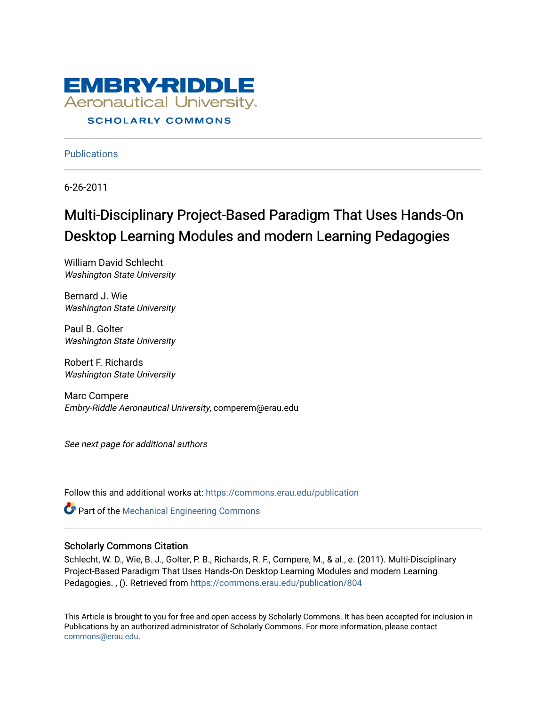

### **Publications**

6-26-2011

# Multi-Disciplinary Project-Based Paradigm That Uses Hands-On Desktop Learning Modules and modern Learning Pedagogies

William David Schlecht Washington State University

Bernard J. Wie Washington State University

Paul B. Golter Washington State University

Robert F. Richards Washington State University

Marc Compere Embry-Riddle Aeronautical University, comperem@erau.edu

See next page for additional authors

Follow this and additional works at: [https://commons.erau.edu/publication](https://commons.erau.edu/publication?utm_source=commons.erau.edu%2Fpublication%2F804&utm_medium=PDF&utm_campaign=PDFCoverPages) 

**Part of the Mechanical Engineering Commons** 

### Scholarly Commons Citation

Schlecht, W. D., Wie, B. J., Golter, P. B., Richards, R. F., Compere, M., & al., e. (2011). Multi-Disciplinary Project-Based Paradigm That Uses Hands-On Desktop Learning Modules and modern Learning Pedagogies. , (). Retrieved from [https://commons.erau.edu/publication/804](https://commons.erau.edu/publication/804?utm_source=commons.erau.edu%2Fpublication%2F804&utm_medium=PDF&utm_campaign=PDFCoverPages)

This Article is brought to you for free and open access by Scholarly Commons. It has been accepted for inclusion in Publications by an authorized administrator of Scholarly Commons. For more information, please contact [commons@erau.edu](mailto:commons@erau.edu).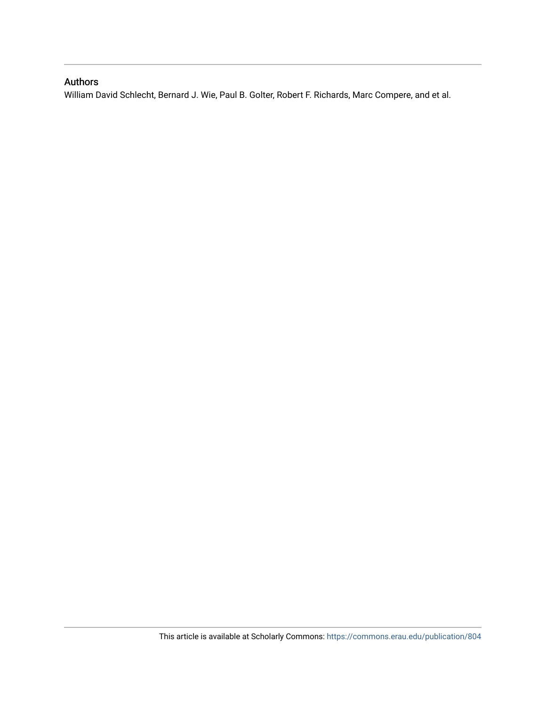## Authors

William David Schlecht, Bernard J. Wie, Paul B. Golter, Robert F. Richards, Marc Compere, and et al.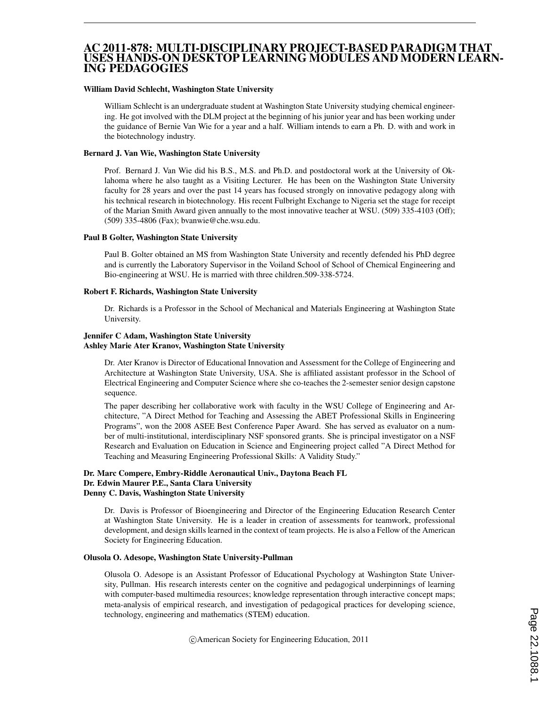### AC 2011-878: MULTI-DISCIPLINARY PROJECT-BASED PARADIGM THAT USES HANDS-ON DESKTOP LEARNING MODULES AND MODERN LEARN-ING PEDAGOGIES

#### William David Schlecht, Washington State University

William Schlecht is an undergraduate student at Washington State University studying chemical engineering. He got involved with the DLM project at the beginning of his junior year and has been working under the guidance of Bernie Van Wie for a year and a half. William intends to earn a Ph. D. with and work in the biotechnology industry.

#### Bernard J. Van Wie, Washington State University

Prof. Bernard J. Van Wie did his B.S., M.S. and Ph.D. and postdoctoral work at the University of Oklahoma where he also taught as a Visiting Lecturer. He has been on the Washington State University faculty for 28 years and over the past 14 years has focused strongly on innovative pedagogy along with his technical research in biotechnology. His recent Fulbright Exchange to Nigeria set the stage for receipt of the Marian Smith Award given annually to the most innovative teacher at WSU. (509) 335-4103 (Off); (509) 335-4806 (Fax); bvanwie@che.wsu.edu.

#### Paul B Golter, Washington State University

Paul B. Golter obtained an MS from Washington State University and recently defended his PhD degree and is currently the Laboratory Supervisor in the Voiland School of School of Chemical Engineering and Bio-engineering at WSU. He is married with three children.509-338-5724.

#### Robert F. Richards, Washington State University

Dr. Richards is a Professor in the School of Mechanical and Materials Engineering at Washington State University.

#### Jennifer C Adam, Washington State University Ashley Marie Ater Kranov, Washington State University

Dr. Ater Kranov is Director of Educational Innovation and Assessment for the College of Engineering and Architecture at Washington State University, USA. She is affiliated assistant professor in the School of Electrical Engineering and Computer Science where she co-teaches the 2-semester senior design capstone sequence.

The paper describing her collaborative work with faculty in the WSU College of Engineering and Architecture, "A Direct Method for Teaching and Assessing the ABET Professional Skills in Engineering Programs", won the 2008 ASEE Best Conference Paper Award. She has served as evaluator on a number of multi-institutional, interdisciplinary NSF sponsored grants. She is principal investigator on a NSF Research and Evaluation on Education in Science and Engineering project called "A Direct Method for Teaching and Measuring Engineering Professional Skills: A Validity Study."

#### Dr. Marc Compere, Embry-Riddle Aeronautical Univ., Daytona Beach FL Dr. Edwin Maurer P.E., Santa Clara University Denny C. Davis, Washington State University

Dr. Davis is Professor of Bioengineering and Director of the Engineering Education Research Center at Washington State University. He is a leader in creation of assessments for teamwork, professional development, and design skills learned in the context of team projects. He is also a Fellow of the American Society for Engineering Education.

#### Olusola O. Adesope, Washington State University-Pullman

Olusola O. Adesope is an Assistant Professor of Educational Psychology at Washington State University, Pullman. His research interests center on the cognitive and pedagogical underpinnings of learning with computer-based multimedia resources; knowledge representation through interactive concept maps; meta-analysis of empirical research, and investigation of pedagogical practices for developing science, technology, engineering and mathematics (STEM) education.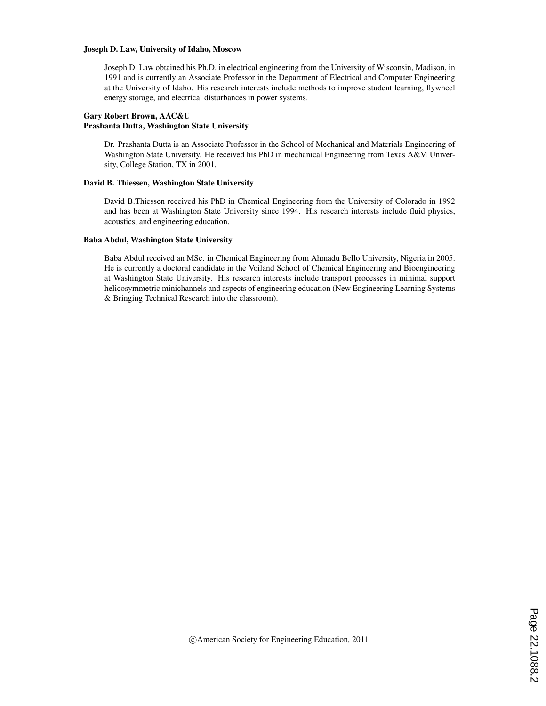#### Joseph D. Law, University of Idaho, Moscow

Joseph D. Law obtained his Ph.D. in electrical engineering from the University of Wisconsin, Madison, in 1991 and is currently an Associate Professor in the Department of Electrical and Computer Engineering at the University of Idaho. His research interests include methods to improve student learning, flywheel energy storage, and electrical disturbances in power systems.

#### Gary Robert Brown, AAC&U Prashanta Dutta, Washington State University

Dr. Prashanta Dutta is an Associate Professor in the School of Mechanical and Materials Engineering of Washington State University. He received his PhD in mechanical Engineering from Texas A&M University, College Station, TX in 2001.

#### David B. Thiessen, Washington State University

David B.Thiessen received his PhD in Chemical Engineering from the University of Colorado in 1992 and has been at Washington State University since 1994. His research interests include fluid physics, acoustics, and engineering education.

#### Baba Abdul, Washington State University

Baba Abdul received an MSc. in Chemical Engineering from Ahmadu Bello University, Nigeria in 2005. He is currently a doctoral candidate in the Voiland School of Chemical Engineering and Bioengineering at Washington State University. His research interests include transport processes in minimal support helicosymmetric minichannels and aspects of engineering education (New Engineering Learning Systems & Bringing Technical Research into the classroom).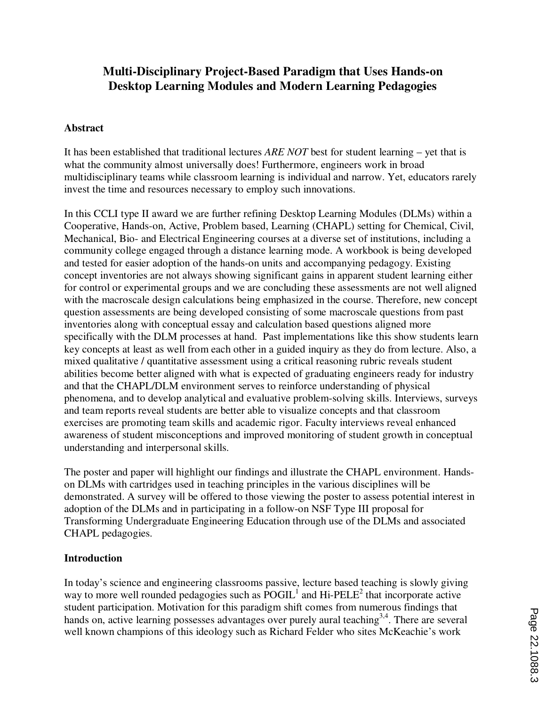# **Multi-Disciplinary Project-Based Paradigm that Uses Hands-on Desktop Learning Modules and Modern Learning Pedagogies**

### **Abstract**

It has been established that traditional lectures *ARE NOT* best for student learning – yet that is what the community almost universally does! Furthermore, engineers work in broad multidisciplinary teams while classroom learning is individual and narrow. Yet, educators rarely invest the time and resources necessary to employ such innovations.

In this CCLI type II award we are further refining Desktop Learning Modules (DLMs) within a Cooperative, Hands-on, Active, Problem based, Learning (CHAPL) setting for Chemical, Civil, Mechanical, Bio- and Electrical Engineering courses at a diverse set of institutions, including a community college engaged through a distance learning mode. A workbook is being developed and tested for easier adoption of the hands-on units and accompanying pedagogy. Existing concept inventories are not always showing significant gains in apparent student learning either for control or experimental groups and we are concluding these assessments are not well aligned with the macroscale design calculations being emphasized in the course. Therefore, new concept question assessments are being developed consisting of some macroscale questions from past inventories along with conceptual essay and calculation based questions aligned more specifically with the DLM processes at hand. Past implementations like this show students learn key concepts at least as well from each other in a guided inquiry as they do from lecture. Also, a mixed qualitative / quantitative assessment using a critical reasoning rubric reveals student abilities become better aligned with what is expected of graduating engineers ready for industry and that the CHAPL/DLM environment serves to reinforce understanding of physical phenomena, and to develop analytical and evaluative problem-solving skills. Interviews, surveys and team reports reveal students are better able to visualize concepts and that classroom exercises are promoting team skills and academic rigor. Faculty interviews reveal enhanced awareness of student misconceptions and improved monitoring of student growth in conceptual understanding and interpersonal skills.

The poster and paper will highlight our findings and illustrate the CHAPL environment. Handson DLMs with cartridges used in teaching principles in the various disciplines will be demonstrated. A survey will be offered to those viewing the poster to assess potential interest in adoption of the DLMs and in participating in a follow-on NSF Type III proposal for Transforming Undergraduate Engineering Education through use of the DLMs and associated CHAPL pedagogies.

### **Introduction**

In today's science and engineering classrooms passive, lecture based teaching is slowly giving way to more well rounded pedagogies such as  $\overline{POGIL}^1$  and  $\overline{Hi-PELE}^2$  that incorporate active student participation. Motivation for this paradigm shift comes from numerous findings that hands on, active learning possesses advantages over purely aural teaching<sup>3,4</sup>. There are several well known champions of this ideology such as Richard Felder who sites McKeachie's work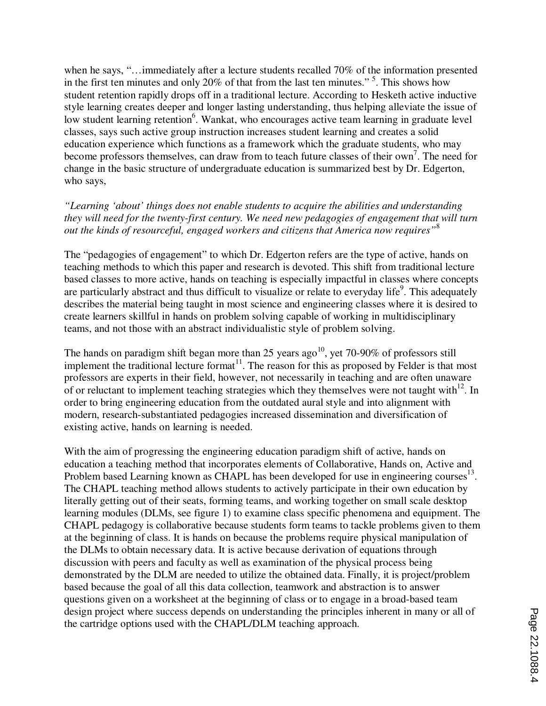when he says, "…immediately after a lecture students recalled 70% of the information presented in the first ten minutes and only 20% of that from the last ten minutes."<sup>5</sup>. This shows how student retention rapidly drops off in a traditional lecture. According to Hesketh active inductive style learning creates deeper and longer lasting understanding, thus helping alleviate the issue of low student learning retention<sup>6</sup>. Wankat, who encourages active team learning in graduate level classes, says such active group instruction increases student learning and creates a solid education experience which functions as a framework which the graduate students, who may become professors themselves, can draw from to teach future classes of their own<sup>7</sup>. The need for change in the basic structure of undergraduate education is summarized best by Dr. Edgerton, who says,

### *"Learning 'about' things does not enable students to acquire the abilities and understanding they will need for the twenty-first century. We need new pedagogies of engagement that will turn out the kinds of resourceful, engaged workers and citizens that America now requires"*<sup>8</sup>

The "pedagogies of engagement" to which Dr. Edgerton refers are the type of active, hands on teaching methods to which this paper and research is devoted. This shift from traditional lecture based classes to more active, hands on teaching is especially impactful in classes where concepts are particularly abstract and thus difficult to visualize or relate to everyday life<sup>9</sup>. This adequately describes the material being taught in most science and engineering classes where it is desired to create learners skillful in hands on problem solving capable of working in multidisciplinary teams, and not those with an abstract individualistic style of problem solving.

The hands on paradigm shift began more than 25 years ago<sup>10</sup>, yet 70-90% of professors still implement the traditional lecture format<sup>11</sup>. The reason for this as proposed by Felder is that most professors are experts in their field, however, not necessarily in teaching and are often unaware of or reluctant to implement teaching strategies which they themselves were not taught with<sup>12</sup>. In order to bring engineering education from the outdated aural style and into alignment with modern, research-substantiated pedagogies increased dissemination and diversification of existing active, hands on learning is needed.

With the aim of progressing the engineering education paradigm shift of active, hands on education a teaching method that incorporates elements of Collaborative, Hands on, Active and Problem based Learning known as CHAPL has been developed for use in engineering courses $^{13}$ . The CHAPL teaching method allows students to actively participate in their own education by literally getting out of their seats, forming teams, and working together on small scale desktop learning modules (DLMs, see figure 1) to examine class specific phenomena and equipment. The CHAPL pedagogy is collaborative because students form teams to tackle problems given to them at the beginning of class. It is hands on because the problems require physical manipulation of the DLMs to obtain necessary data. It is active because derivation of equations through discussion with peers and faculty as well as examination of the physical process being demonstrated by the DLM are needed to utilize the obtained data. Finally, it is project/problem based because the goal of all this data collection, teamwork and abstraction is to answer questions given on a worksheet at the beginning of class or to engage in a broad-based team design project where success depends on understanding the principles inherent in many or all of the cartridge options used with the CHAPL/DLM teaching approach.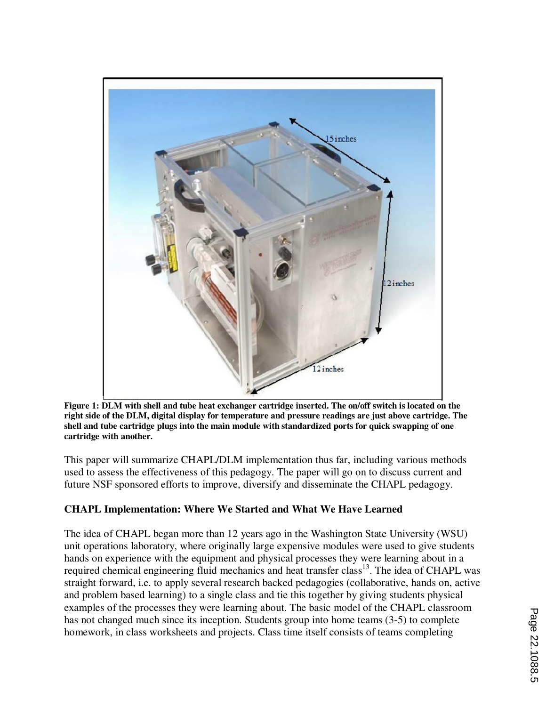

**Figure 1: DLM with shell and tube heat exchanger cartridge inserted. The on/off switch is located on the right side of the DLM, digital display for temperature and pressure readings are just above cartridge. The shell and tube cartridge plugs into the main module with standardized ports for quick swapping of one cartridge with another.**

This paper will summarize CHAPL/DLM implementation thus far, including various methods used to assess the effectiveness of this pedagogy. The paper will go on to discuss current and future NSF sponsored efforts to improve, diversify and disseminate the CHAPL pedagogy.

# **CHAPL Implementation: Where We Started and What We Have Learned**

The idea of CHAPL began more than 12 years ago in the Washington State University (WSU) unit operations laboratory, where originally large expensive modules were used to give students hands on experience with the equipment and physical processes they were learning about in a required chemical engineering fluid mechanics and heat transfer class<sup>13</sup>. The idea of CHAPL was straight forward, i.e. to apply several research backed pedagogies (collaborative, hands on, active and problem based learning) to a single class and tie this together by giving students physical examples of the processes they were learning about. The basic model of the CHAPL classroom has not changed much since its inception. Students group into home teams (3-5) to complete homework, in class worksheets and projects. Class time itself consists of teams completing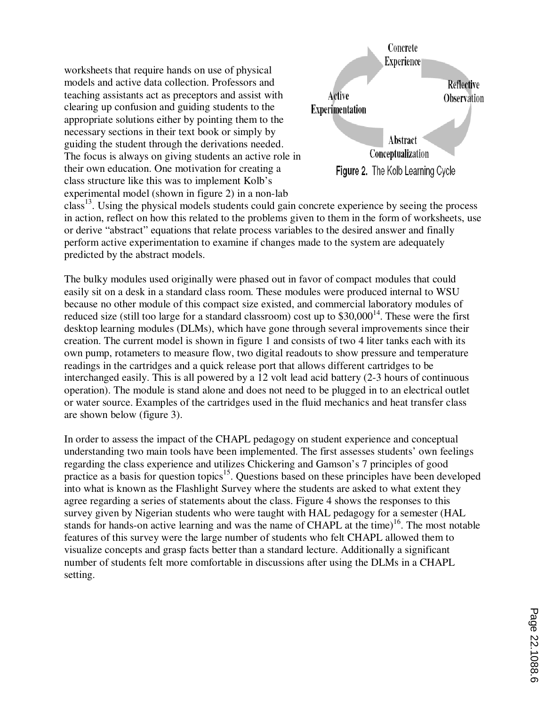worksheets that require hands on use of physical models and active data collection. Professors and teaching assistants act as preceptors and assist with clearing up confusion and guiding students to the appropriate solutions either by pointing them to the necessary sections in their text book or simply by guiding the student through the derivations needed. The focus is always on giving students an active role in their own education. One motivation for creating a class structure like this was to implement Kolb's experimental model (shown in figure 2) in a non-lab



class<sup>13</sup>. Using the physical models students could gain concrete experience by seeing the process in action, reflect on how this related to the problems given to them in the form of worksheets, use or derive "abstract" equations that relate process variables to the desired answer and finally perform active experimentation to examine if changes made to the system are adequately predicted by the abstract models.

The bulky modules used originally were phased out in favor of compact modules that could easily sit on a desk in a standard class room. These modules were produced internal to WSU because no other module of this compact size existed, and commercial laboratory modules of reduced size (still too large for a standard classroom) cost up to  $$30,000^{14}$ . These were the first desktop learning modules (DLMs), which have gone through several improvements since their creation. The current model is shown in figure 1 and consists of two 4 liter tanks each with its own pump, rotameters to measure flow, two digital readouts to show pressure and temperature readings in the cartridges and a quick release port that allows different cartridges to be interchanged easily. This is all powered by a 12 volt lead acid battery (2-3 hours of continuous operation). The module is stand alone and does not need to be plugged in to an electrical outlet or water source. Examples of the cartridges used in the fluid mechanics and heat transfer class are shown below (figure 3).

In order to assess the impact of the CHAPL pedagogy on student experience and conceptual understanding two main tools have been implemented. The first assesses students' own feelings regarding the class experience and utilizes Chickering and Gamson's 7 principles of good practice as a basis for question topics<sup>15</sup>. Questions based on these principles have been developed into what is known as the Flashlight Survey where the students are asked to what extent they agree regarding a series of statements about the class. Figure 4 shows the responses to this survey given by Nigerian students who were taught with HAL pedagogy for a semester (HAL stands for hands-on active learning and was the name of CHAPL at the time)<sup>16</sup>. The most notable features of this survey were the large number of students who felt CHAPL allowed them to visualize concepts and grasp facts better than a standard lecture. Additionally a significant number of students felt more comfortable in discussions after using the DLMs in a CHAPL setting.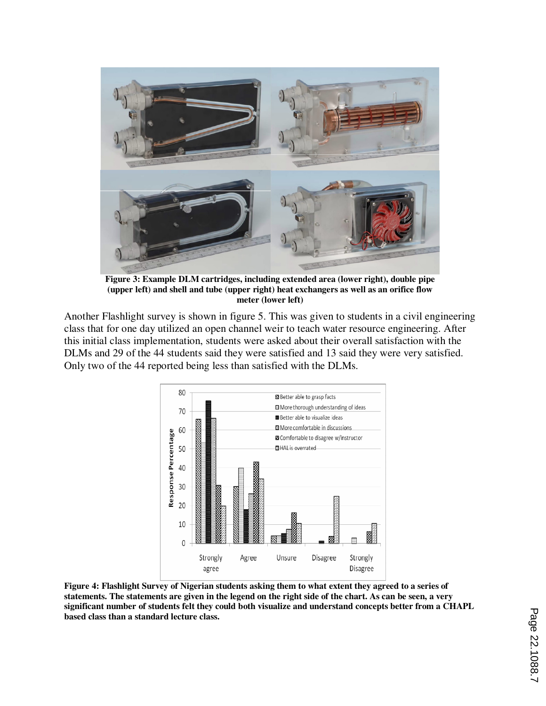

**Figure 3: Example DLM cartridges, including extended area (lower right), double pipe (upper left) and shell and tube (upper right) heat exchangers as well as an orifice flow meter (lower left)** 

Another Flashlight survey is shown in figure 5. This was given to students in a civil engineering class that for one day utilized an open channel weir to teach water resource engineering. After this initial class implementation, students were asked about their overall satisfaction with the DLMs and 29 of the 44 students said they were satisfied and 13 said they were very satisfied. Only two of the 44 reported being less than satisfied with the DLMs.



**Figure 4: Flashlight Survey of Nigerian students asking them to what extent they agreed to a series of statements. The statements are given in the legend on the right side of the chart. As can be seen, a very significant number of students felt they could both visualize and understand concepts better from a CHAPL based class than a standard lecture class.**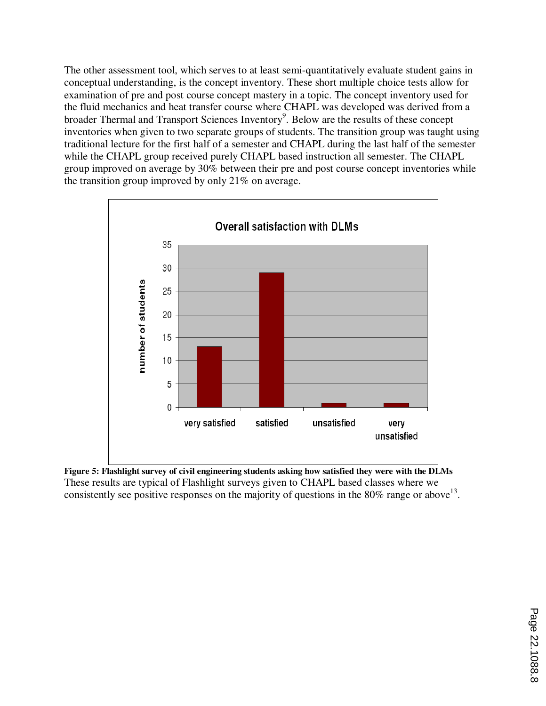The other assessment tool, which serves to at least semi-quantitatively evaluate student gains in conceptual understanding, is the concept inventory. These short multiple choice tests allow for examination of pre and post course concept mastery in a topic. The concept inventory used for the fluid mechanics and heat transfer course where CHAPL was developed was derived from a broader Thermal and Transport Sciences Inventory<sup>9</sup>. Below are the results of these concept inventories when given to two separate groups of students. The transition group was taught using traditional lecture for the first half of a semester and CHAPL during the last half of the semester while the CHAPL group received purely CHAPL based instruction all semester. The CHAPL group improved on average by 30% between their pre and post course concept inventories while the transition group improved by only 21% on average.



**Figure 5: Flashlight survey of civil engineering students asking how satisfied they were with the DLMs**  These results are typical of Flashlight surveys given to CHAPL based classes where we consistently see positive responses on the majority of questions in the 80% range or above  $13$ .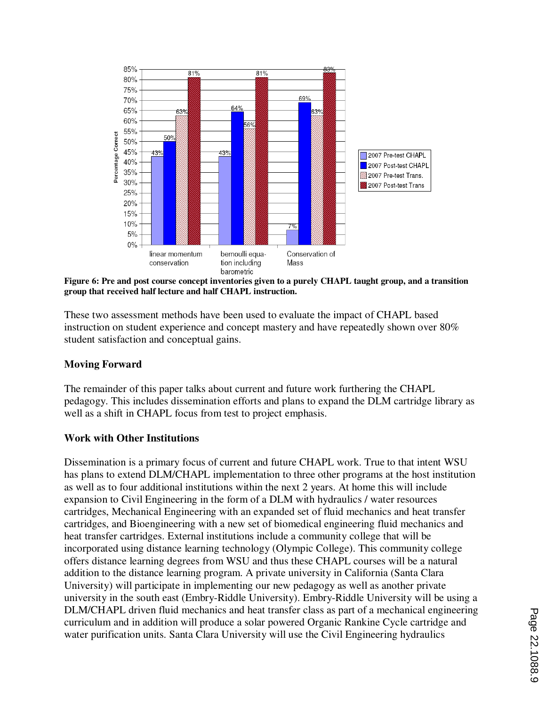

**Figure 6: Pre and post course concept inventories given to a purely CHAPL taught group, and a transition group that received half lecture and half CHAPL instruction.** 

These two assessment methods have been used to evaluate the impact of CHAPL based instruction on student experience and concept mastery and have repeatedly shown over 80% student satisfaction and conceptual gains.

### **Moving Forward**

The remainder of this paper talks about current and future work furthering the CHAPL pedagogy. This includes dissemination efforts and plans to expand the DLM cartridge library as well as a shift in CHAPL focus from test to project emphasis.

### **Work with Other Institutions**

Dissemination is a primary focus of current and future CHAPL work. True to that intent WSU has plans to extend DLM/CHAPL implementation to three other programs at the host institution as well as to four additional institutions within the next 2 years. At home this will include expansion to Civil Engineering in the form of a DLM with hydraulics / water resources cartridges, Mechanical Engineering with an expanded set of fluid mechanics and heat transfer cartridges, and Bioengineering with a new set of biomedical engineering fluid mechanics and heat transfer cartridges. External institutions include a community college that will be incorporated using distance learning technology (Olympic College). This community college offers distance learning degrees from WSU and thus these CHAPL courses will be a natural addition to the distance learning program. A private university in California (Santa Clara University) will participate in implementing our new pedagogy as well as another private university in the south east (Embry-Riddle University). Embry-Riddle University will be using a DLM/CHAPL driven fluid mechanics and heat transfer class as part of a mechanical engineering curriculum and in addition will produce a solar powered Organic Rankine Cycle cartridge and water purification units. Santa Clara University will use the Civil Engineering hydraulics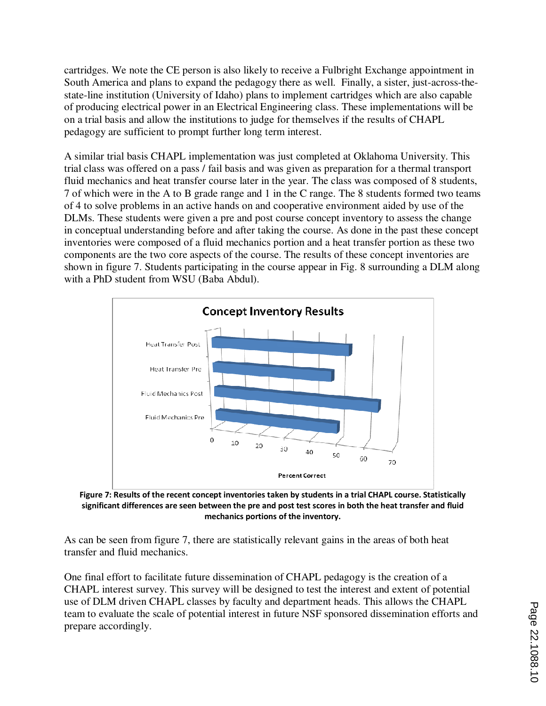cartridges. We note the CE person is also likely to receive a Fulbright Exchange appointment in South America and plans to expand the pedagogy there as well. Finally, a sister, just-across-thestate-line institution (University of Idaho) plans to implement cartridges which are also capable of producing electrical power in an Electrical Engineering class. These implementations will be on a trial basis and allow the institutions to judge for themselves if the results of CHAPL pedagogy are sufficient to prompt further long term interest.

A similar trial basis CHAPL implementation was just completed at Oklahoma University. This trial class was offered on a pass / fail basis and was given as preparation for a thermal transport fluid mechanics and heat transfer course later in the year. The class was composed of 8 students, 7 of which were in the A to B grade range and 1 in the C range. The 8 students formed two teams of 4 to solve problems in an active hands on and cooperative environment aided by use of the DLMs. These students were given a pre and post course concept inventory to assess the change in conceptual understanding before and after taking the course. As done in the past these concept inventories were composed of a fluid mechanics portion and a heat transfer portion as these two components are the two core aspects of the course. The results of these concept inventories are shown in figure 7. Students participating in the course appear in Fig. 8 surrounding a DLM along with a PhD student from WSU (Baba Abdul).



**Figure 7: Results of the recent concept inventories taken by students in a trial CHAPL course. Statistically significant differences are seen between the pre and post test scores in both the heat transfer and fluid mechanics portions of the inventory.** 

As can be seen from figure 7, there are statistically relevant gains in the areas of both heat transfer and fluid mechanics.

One final effort to facilitate future dissemination of CHAPL pedagogy is the creation of a CHAPL interest survey. This survey will be designed to test the interest and extent of potential use of DLM driven CHAPL classes by faculty and department heads. This allows the CHAPL team to evaluate the scale of potential interest in future NSF sponsored dissemination efforts and prepare accordingly.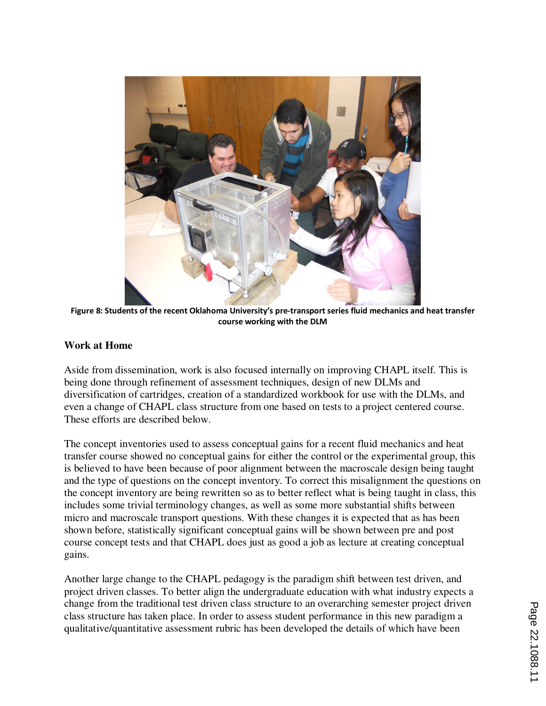

**Figure 8: Students of the recent Oklahoma University's pre-transport series fluid mechanics and heat transfer course working with the DLM** 

### **Work at Home**

Aside from dissemination, work is also focused internally on improving CHAPL itself. This is being done through refinement of assessment techniques, design of new DLMs and diversification of cartridges, creation of a standardized workbook for use with the DLMs, and even a change of CHAPL class structure from one based on tests to a project centered course. These efforts are described below.

The concept inventories used to assess conceptual gains for a recent fluid mechanics and heat transfer course showed no conceptual gains for either the control or the experimental group, this is believed to have been because of poor alignment between the macroscale design being taught and the type of questions on the concept inventory. To correct this misalignment the questions on the concept inventory are being rewritten so as to better reflect what is being taught in class, this includes some trivial terminology changes, as well as some more substantial shifts between micro and macroscale transport questions. With these changes it is expected that as has been shown before, statistically significant conceptual gains will be shown between pre and post course concept tests and that CHAPL does just as good a job as lecture at creating conceptual gains.

Another large change to the CHAPL pedagogy is the paradigm shift between test driven, and project driven classes. To better align the undergraduate education with what industry expects a change from the traditional test driven class structure to an overarching semester project driven class structure has taken place. In order to assess student performance in this new paradigm a qualitative/quantitative assessment rubric has been developed the details of which have been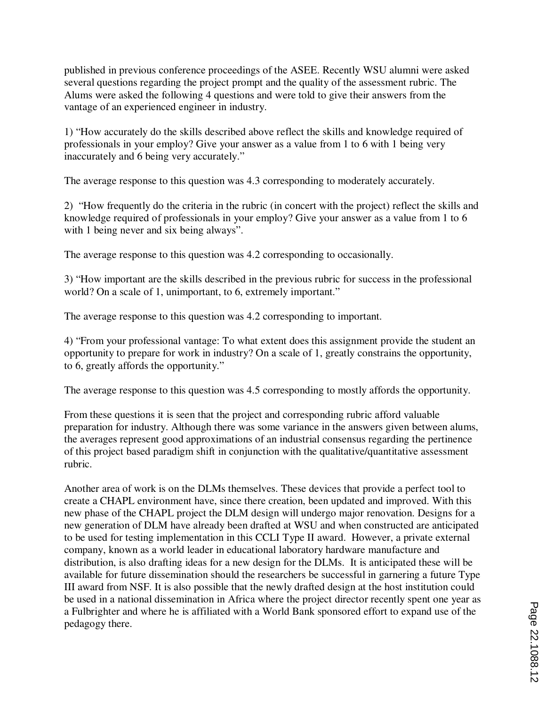published in previous conference proceedings of the ASEE. Recently WSU alumni were asked several questions regarding the project prompt and the quality of the assessment rubric. The Alums were asked the following 4 questions and were told to give their answers from the vantage of an experienced engineer in industry.

1) "How accurately do the skills described above reflect the skills and knowledge required of professionals in your employ? Give your answer as a value from 1 to 6 with 1 being very inaccurately and 6 being very accurately."

The average response to this question was 4.3 corresponding to moderately accurately.

2) "How frequently do the criteria in the rubric (in concert with the project) reflect the skills and knowledge required of professionals in your employ? Give your answer as a value from 1 to 6 with 1 being never and six being always".

The average response to this question was 4.2 corresponding to occasionally.

3) "How important are the skills described in the previous rubric for success in the professional world? On a scale of 1, unimportant, to 6, extremely important."

The average response to this question was 4.2 corresponding to important.

4) "From your professional vantage: To what extent does this assignment provide the student an opportunity to prepare for work in industry? On a scale of 1, greatly constrains the opportunity, to 6, greatly affords the opportunity."

The average response to this question was 4.5 corresponding to mostly affords the opportunity.

From these questions it is seen that the project and corresponding rubric afford valuable preparation for industry. Although there was some variance in the answers given between alums, the averages represent good approximations of an industrial consensus regarding the pertinence of this project based paradigm shift in conjunction with the qualitative/quantitative assessment rubric.

Another area of work is on the DLMs themselves. These devices that provide a perfect tool to create a CHAPL environment have, since there creation, been updated and improved. With this new phase of the CHAPL project the DLM design will undergo major renovation. Designs for a new generation of DLM have already been drafted at WSU and when constructed are anticipated to be used for testing implementation in this CCLI Type II award. However, a private external company, known as a world leader in educational laboratory hardware manufacture and distribution, is also drafting ideas for a new design for the DLMs. It is anticipated these will be available for future dissemination should the researchers be successful in garnering a future Type III award from NSF. It is also possible that the newly drafted design at the host institution could be used in a national dissemination in Africa where the project director recently spent one year as a Fulbrighter and where he is affiliated with a World Bank sponsored effort to expand use of the pedagogy there.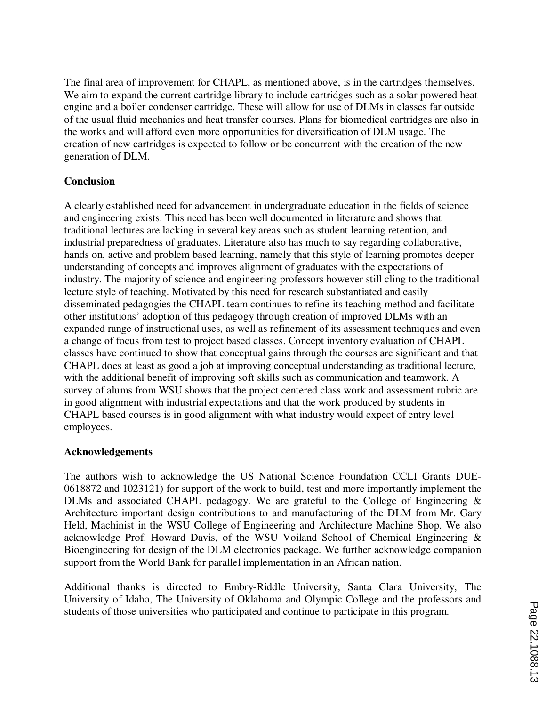The final area of improvement for CHAPL, as mentioned above, is in the cartridges themselves. We aim to expand the current cartridge library to include cartridges such as a solar powered heat engine and a boiler condenser cartridge. These will allow for use of DLMs in classes far outside of the usual fluid mechanics and heat transfer courses. Plans for biomedical cartridges are also in the works and will afford even more opportunities for diversification of DLM usage. The creation of new cartridges is expected to follow or be concurrent with the creation of the new generation of DLM.

### **Conclusion**

A clearly established need for advancement in undergraduate education in the fields of science and engineering exists. This need has been well documented in literature and shows that traditional lectures are lacking in several key areas such as student learning retention, and industrial preparedness of graduates. Literature also has much to say regarding collaborative, hands on, active and problem based learning, namely that this style of learning promotes deeper understanding of concepts and improves alignment of graduates with the expectations of industry. The majority of science and engineering professors however still cling to the traditional lecture style of teaching. Motivated by this need for research substantiated and easily disseminated pedagogies the CHAPL team continues to refine its teaching method and facilitate other institutions' adoption of this pedagogy through creation of improved DLMs with an expanded range of instructional uses, as well as refinement of its assessment techniques and even a change of focus from test to project based classes. Concept inventory evaluation of CHAPL classes have continued to show that conceptual gains through the courses are significant and that CHAPL does at least as good a job at improving conceptual understanding as traditional lecture, with the additional benefit of improving soft skills such as communication and teamwork. A survey of alums from WSU shows that the project centered class work and assessment rubric are in good alignment with industrial expectations and that the work produced by students in CHAPL based courses is in good alignment with what industry would expect of entry level employees.

### **Acknowledgements**

The authors wish to acknowledge the US National Science Foundation CCLI Grants DUE-0618872 and 1023121) for support of the work to build, test and more importantly implement the DLMs and associated CHAPL pedagogy. We are grateful to the College of Engineering  $\&$ Architecture important design contributions to and manufacturing of the DLM from Mr. Gary Held, Machinist in the WSU College of Engineering and Architecture Machine Shop. We also acknowledge Prof. Howard Davis, of the WSU Voiland School of Chemical Engineering & Bioengineering for design of the DLM electronics package. We further acknowledge companion support from the World Bank for parallel implementation in an African nation.

Additional thanks is directed to Embry-Riddle University, Santa Clara University, The University of Idaho, The University of Oklahoma and Olympic College and the professors and students of those universities who participated and continue to participate in this program.